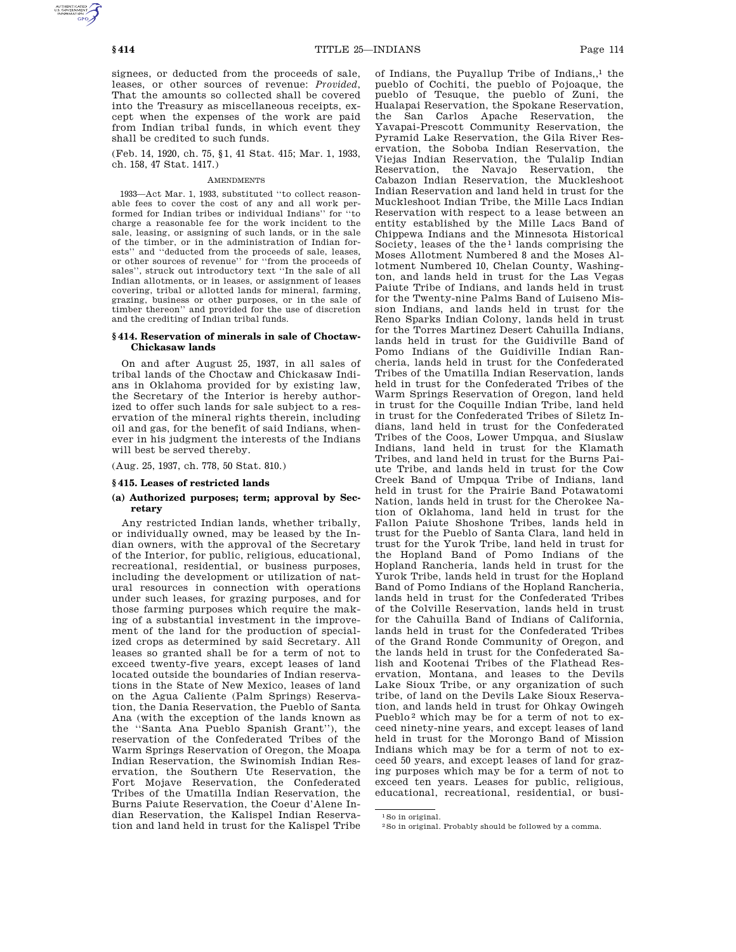signees, or deducted from the proceeds of sale, leases, or other sources of revenue: *Provided*, That the amounts so collected shall be covered into the Treasury as miscellaneous receipts, except when the expenses of the work are paid from Indian tribal funds, in which event they shall be credited to such funds.

(Feb. 14, 1920, ch. 75, §1, 41 Stat. 415; Mar. 1, 1933, ch. 158, 47 Stat. 1417.)

### **AMENDMENTS**

1933—Act Mar. 1, 1933, substituted ''to collect reasonable fees to cover the cost of any and all work performed for Indian tribes or individual Indians'' for ''to charge a reasonable fee for the work incident to the sale, leasing, or assigning of such lands, or in the sale of the timber, or in the administration of Indian forests'' and ''deducted from the proceeds of sale, leases, or other sources of revenue'' for ''from the proceeds of sales'', struck out introductory text ''In the sale of all Indian allotments, or in leases, or assignment of leases covering, tribal or allotted lands for mineral, farming, grazing, business or other purposes, or in the sale of timber thereon'' and provided for the use of discretion and the crediting of Indian tribal funds.

# **§ 414. Reservation of minerals in sale of Choctaw-Chickasaw lands**

On and after August 25, 1937, in all sales of tribal lands of the Choctaw and Chickasaw Indians in Oklahoma provided for by existing law, the Secretary of the Interior is hereby authorized to offer such lands for sale subject to a reservation of the mineral rights therein, including oil and gas, for the benefit of said Indians, whenever in his judgment the interests of the Indians will best be served thereby.

(Aug. 25, 1937, ch. 778, 50 Stat. 810.)

### **§ 415. Leases of restricted lands**

### **(a) Authorized purposes; term; approval by Secretary**

Any restricted Indian lands, whether tribally, or individually owned, may be leased by the Indian owners, with the approval of the Secretary of the Interior, for public, religious, educational, recreational, residential, or business purposes, including the development or utilization of natural resources in connection with operations under such leases, for grazing purposes, and for those farming purposes which require the making of a substantial investment in the improvement of the land for the production of specialized crops as determined by said Secretary. All leases so granted shall be for a term of not to exceed twenty-five years, except leases of land located outside the boundaries of Indian reservations in the State of New Mexico, leases of land on the Agua Caliente (Palm Springs) Reservation, the Dania Reservation, the Pueblo of Santa Ana (with the exception of the lands known as the ''Santa Ana Pueblo Spanish Grant''), the reservation of the Confederated Tribes of the Warm Springs Reservation of Oregon, the Moapa Indian Reservation, the Swinomish Indian Reservation, the Southern Ute Reservation, the Fort Mojave Reservation, the Confederated Tribes of the Umatilla Indian Reservation, the Burns Paiute Reservation, the Coeur d'Alene Indian Reservation, the Kalispel Indian Reservation and land held in trust for the Kalispel Tribe

of Indians, the Puyallup Tribe of Indians, $<sup>1</sup>$  the</sup> pueblo of Cochiti, the pueblo of Pojoaque, the pueblo of Tesuque, the pueblo of Zuni, the Hualapai Reservation, the Spokane Reservation, the San Carlos Apache Reservation, the Yavapai-Prescott Community Reservation, the Pyramid Lake Reservation, the Gila River Reservation, the Soboba Indian Reservation, the Viejas Indian Reservation, the Tulalip Indian Reservation, the Navajo Reservation, the Cabazon Indian Reservation, the Muckleshoot Indian Reservation and land held in trust for the Muckleshoot Indian Tribe, the Mille Lacs Indian Reservation with respect to a lease between an entity established by the Mille Lacs Band of Chippewa Indians and the Minnesota Historical Society, leases of the the<sup>1</sup> lands comprising the Moses Allotment Numbered 8 and the Moses Allotment Numbered 10, Chelan County, Washington, and lands held in trust for the Las Vegas Paiute Tribe of Indians, and lands held in trust for the Twenty-nine Palms Band of Luiseno Mission Indians, and lands held in trust for the Reno Sparks Indian Colony, lands held in trust for the Torres Martinez Desert Cahuilla Indians, lands held in trust for the Guidiville Band of Pomo Indians of the Guidiville Indian Rancheria, lands held in trust for the Confederated Tribes of the Umatilla Indian Reservation, lands held in trust for the Confederated Tribes of the Warm Springs Reservation of Oregon, land held in trust for the Coquille Indian Tribe, land held in trust for the Confederated Tribes of Siletz Indians, land held in trust for the Confederated Tribes of the Coos, Lower Umpqua, and Siuslaw Indians, land held in trust for the Klamath Tribes, and land held in trust for the Burns Paiute Tribe, and lands held in trust for the Cow Creek Band of Umpqua Tribe of Indians, land held in trust for the Prairie Band Potawatomi Nation, lands held in trust for the Cherokee Nation of Oklahoma, land held in trust for the Fallon Paiute Shoshone Tribes, lands held in trust for the Pueblo of Santa Clara, land held in trust for the Yurok Tribe, land held in trust for the Hopland Band of Pomo Indians of the Hopland Rancheria, lands held in trust for the Yurok Tribe, lands held in trust for the Hopland Band of Pomo Indians of the Hopland Rancheria, lands held in trust for the Confederated Tribes of the Colville Reservation, lands held in trust for the Cahuilla Band of Indians of California, lands held in trust for the Confederated Tribes of the Grand Ronde Community of Oregon, and the lands held in trust for the Confederated Salish and Kootenai Tribes of the Flathead Reservation, Montana, and leases to the Devils Lake Sioux Tribe, or any organization of such tribe, of land on the Devils Lake Sioux Reservation, and lands held in trust for Ohkay Owingeh Pueblo<sup>2</sup> which may be for a term of not to exceed ninety-nine years, and except leases of land held in trust for the Morongo Band of Mission Indians which may be for a term of not to exceed 50 years, and except leases of land for grazing purposes which may be for a term of not to exceed ten years. Leases for public, religious, educational, recreational, residential, or busi-

1So in original.

<sup>2</sup>So in original. Probably should be followed by a comma.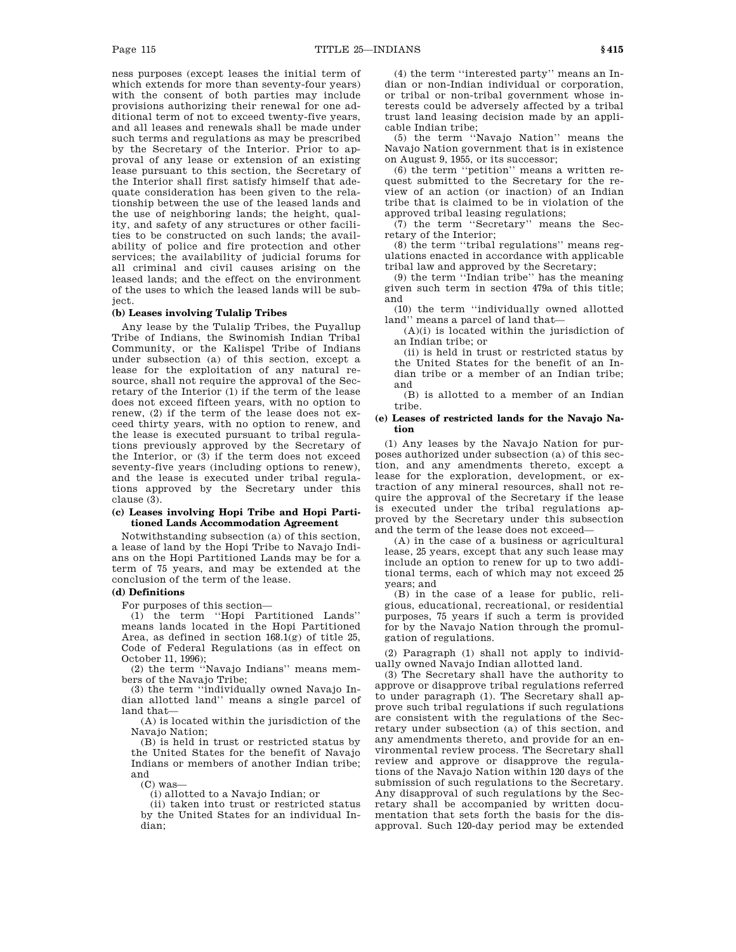ness purposes (except leases the initial term of which extends for more than seventy-four years) with the consent of both parties may include provisions authorizing their renewal for one additional term of not to exceed twenty-five years, and all leases and renewals shall be made under such terms and regulations as may be prescribed by the Secretary of the Interior. Prior to approval of any lease or extension of an existing lease pursuant to this section, the Secretary of the Interior shall first satisfy himself that adequate consideration has been given to the relationship between the use of the leased lands and the use of neighboring lands; the height, quality, and safety of any structures or other facilities to be constructed on such lands; the availability of police and fire protection and other services; the availability of judicial forums for all criminal and civil causes arising on the leased lands; and the effect on the environment of the uses to which the leased lands will be subject.

### **(b) Leases involving Tulalip Tribes**

Any lease by the Tulalip Tribes, the Puyallup Tribe of Indians, the Swinomish Indian Tribal Community, or the Kalispel Tribe of Indians under subsection (a) of this section, except a lease for the exploitation of any natural resource, shall not require the approval of the Secretary of the Interior (1) if the term of the lease does not exceed fifteen years, with no option to renew, (2) if the term of the lease does not exceed thirty years, with no option to renew, and the lease is executed pursuant to tribal regulations previously approved by the Secretary of the Interior, or (3) if the term does not exceed seventy-five years (including options to renew), and the lease is executed under tribal regulations approved by the Secretary under this clause (3).

## **(c) Leases involving Hopi Tribe and Hopi Partitioned Lands Accommodation Agreement**

Notwithstanding subsection (a) of this section, a lease of land by the Hopi Tribe to Navajo Indians on the Hopi Partitioned Lands may be for a term of 75 years, and may be extended at the conclusion of the term of the lease.

# **(d) Definitions**

For purposes of this section—

(1) the term ''Hopi Partitioned Lands'' means lands located in the Hopi Partitioned Area, as defined in section 168.1(g) of title 25, Code of Federal Regulations (as in effect on October 11, 1996);

(2) the term ''Navajo Indians'' means members of the Navajo Tribe;

(3) the term ''individually owned Navajo Indian allotted land'' means a single parcel of land that—

(A) is located within the jurisdiction of the Navajo Nation;

(B) is held in trust or restricted status by the United States for the benefit of Navajo Indians or members of another Indian tribe; and

(C) was—

(i) allotted to a Navajo Indian; or

(ii) taken into trust or restricted status by the United States for an individual Indian;

(4) the term ''interested party'' means an Indian or non-Indian individual or corporation, or tribal or non-tribal government whose interests could be adversely affected by a tribal trust land leasing decision made by an applicable Indian tribe;

(5) the term ''Navajo Nation'' means the Navajo Nation government that is in existence on August 9, 1955, or its successor;

(6) the term ''petition'' means a written request submitted to the Secretary for the review of an action (or inaction) of an Indian tribe that is claimed to be in violation of the approved tribal leasing regulations;

(7) the term ''Secretary'' means the Secretary of the Interior;

(8) the term ''tribal regulations'' means regulations enacted in accordance with applicable tribal law and approved by the Secretary;

(9) the term ''Indian tribe'' has the meaning given such term in section 479a of this title; and

(10) the term ''individually owned allotted land'' means a parcel of land that—

 $(A)(i)$  is located within the jurisdiction of an Indian tribe; or

(ii) is held in trust or restricted status by the United States for the benefit of an Indian tribe or a member of an Indian tribe; and

(B) is allotted to a member of an Indian tribe.

## **(e) Leases of restricted lands for the Navajo Nation**

(1) Any leases by the Navajo Nation for purposes authorized under subsection (a) of this section, and any amendments thereto, except a lease for the exploration, development, or extraction of any mineral resources, shall not require the approval of the Secretary if the lease is executed under the tribal regulations approved by the Secretary under this subsection and the term of the lease does not exceed—

(A) in the case of a business or agricultural lease, 25 years, except that any such lease may include an option to renew for up to two additional terms, each of which may not exceed 25 years; and

(B) in the case of a lease for public, religious, educational, recreational, or residential purposes, 75 years if such a term is provided for by the Navajo Nation through the promulgation of regulations.

(2) Paragraph (1) shall not apply to individually owned Navajo Indian allotted land.

(3) The Secretary shall have the authority to approve or disapprove tribal regulations referred to under paragraph (1). The Secretary shall approve such tribal regulations if such regulations are consistent with the regulations of the Secretary under subsection (a) of this section, and any amendments thereto, and provide for an environmental review process. The Secretary shall review and approve or disapprove the regulations of the Navajo Nation within 120 days of the submission of such regulations to the Secretary. Any disapproval of such regulations by the Secretary shall be accompanied by written documentation that sets forth the basis for the disapproval. Such 120-day period may be extended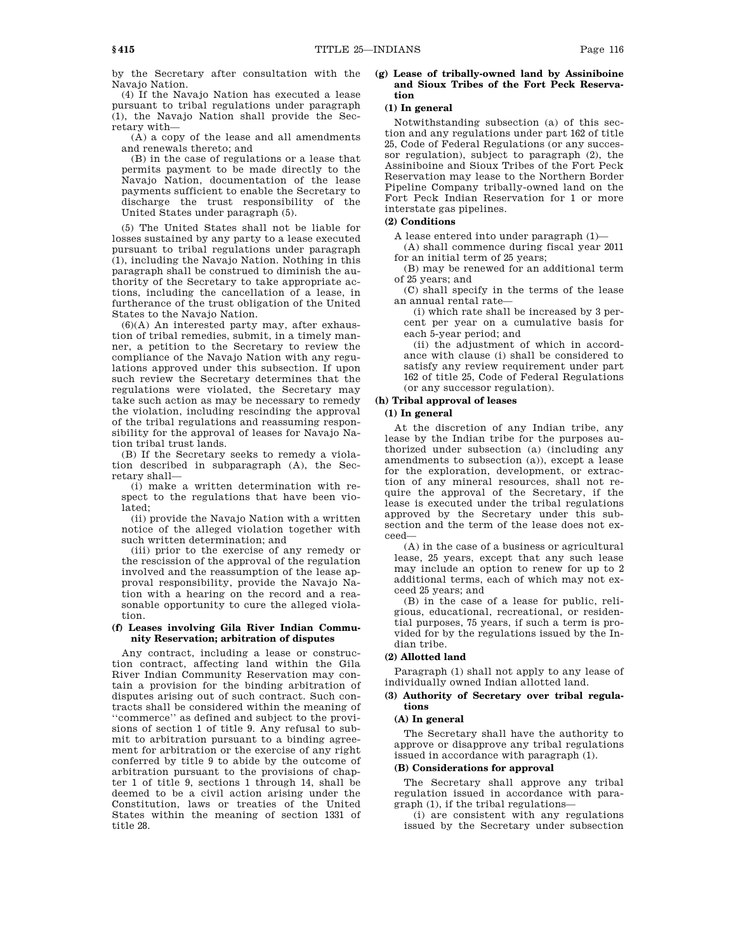by the Secretary after consultation with the Navajo Nation.

(4) If the Navajo Nation has executed a lease pursuant to tribal regulations under paragraph (1), the Navajo Nation shall provide the Secretary with—

(A) a copy of the lease and all amendments and renewals thereto; and

(B) in the case of regulations or a lease that permits payment to be made directly to the Navajo Nation, documentation of the lease payments sufficient to enable the Secretary to discharge the trust responsibility of the United States under paragraph (5).

(5) The United States shall not be liable for losses sustained by any party to a lease executed pursuant to tribal regulations under paragraph (1), including the Navajo Nation. Nothing in this paragraph shall be construed to diminish the authority of the Secretary to take appropriate actions, including the cancellation of a lease, in furtherance of the trust obligation of the United States to the Navajo Nation.

(6)(A) An interested party may, after exhaustion of tribal remedies, submit, in a timely manner, a petition to the Secretary to review the compliance of the Navajo Nation with any regulations approved under this subsection. If upon such review the Secretary determines that the regulations were violated, the Secretary may take such action as may be necessary to remedy the violation, including rescinding the approval of the tribal regulations and reassuming responsibility for the approval of leases for Navajo Nation tribal trust lands.

(B) If the Secretary seeks to remedy a violation described in subparagraph (A), the Secretary shall—

(i) make a written determination with respect to the regulations that have been violated;

(ii) provide the Navajo Nation with a written notice of the alleged violation together with such written determination; and

(iii) prior to the exercise of any remedy or the rescission of the approval of the regulation involved and the reassumption of the lease approval responsibility, provide the Navajo Nation with a hearing on the record and a reasonable opportunity to cure the alleged violation.

# **(f) Leases involving Gila River Indian Community Reservation; arbitration of disputes**

Any contract, including a lease or construction contract, affecting land within the Gila River Indian Community Reservation may contain a provision for the binding arbitration of disputes arising out of such contract. Such contracts shall be considered within the meaning of ''commerce'' as defined and subject to the provisions of section 1 of title 9. Any refusal to submit to arbitration pursuant to a binding agreement for arbitration or the exercise of any right conferred by title 9 to abide by the outcome of arbitration pursuant to the provisions of chapter 1 of title 9, sections 1 through 14, shall be deemed to be a civil action arising under the Constitution, laws or treaties of the United States within the meaning of section 1331 of title 28.

### **(g) Lease of tribally-owned land by Assiniboine and Sioux Tribes of the Fort Peck Reservation**

### **(1) In general**

Notwithstanding subsection (a) of this section and any regulations under part 162 of title 25, Code of Federal Regulations (or any successor regulation), subject to paragraph (2), the Assiniboine and Sioux Tribes of the Fort Peck Reservation may lease to the Northern Border Pipeline Company tribally-owned land on the Fort Peck Indian Reservation for 1 or more interstate gas pipelines.

# **(2) Conditions**

A lease entered into under paragraph (1)—

(A) shall commence during fiscal year 2011 for an initial term of 25 years;

(B) may be renewed for an additional term of 25 years; and

(C) shall specify in the terms of the lease an annual rental rate—

(i) which rate shall be increased by 3 percent per year on a cumulative basis for each 5-year period; and

(ii) the adjustment of which in accordance with clause (i) shall be considered to satisfy any review requirement under part 162 of title 25, Code of Federal Regulations (or any successor regulation).

### **(h) Tribal approval of leases**

# **(1) In general**

At the discretion of any Indian tribe, any lease by the Indian tribe for the purposes authorized under subsection (a) (including any amendments to subsection (a)), except a lease for the exploration, development, or extraction of any mineral resources, shall not require the approval of the Secretary, if the lease is executed under the tribal regulations approved by the Secretary under this subsection and the term of the lease does not exceed—

(A) in the case of a business or agricultural lease, 25 years, except that any such lease may include an option to renew for up to 2 additional terms, each of which may not exceed 25 years; and

(B) in the case of a lease for public, religious, educational, recreational, or residential purposes, 75 years, if such a term is provided for by the regulations issued by the Indian tribe.

# **(2) Allotted land**

Paragraph (1) shall not apply to any lease of individually owned Indian allotted land.

# **(3) Authority of Secretary over tribal regulations**

# **(A) In general**

The Secretary shall have the authority to approve or disapprove any tribal regulations issued in accordance with paragraph (1).

# **(B) Considerations for approval**

The Secretary shall approve any tribal regulation issued in accordance with paragraph (1), if the tribal regulations—

(i) are consistent with any regulations issued by the Secretary under subsection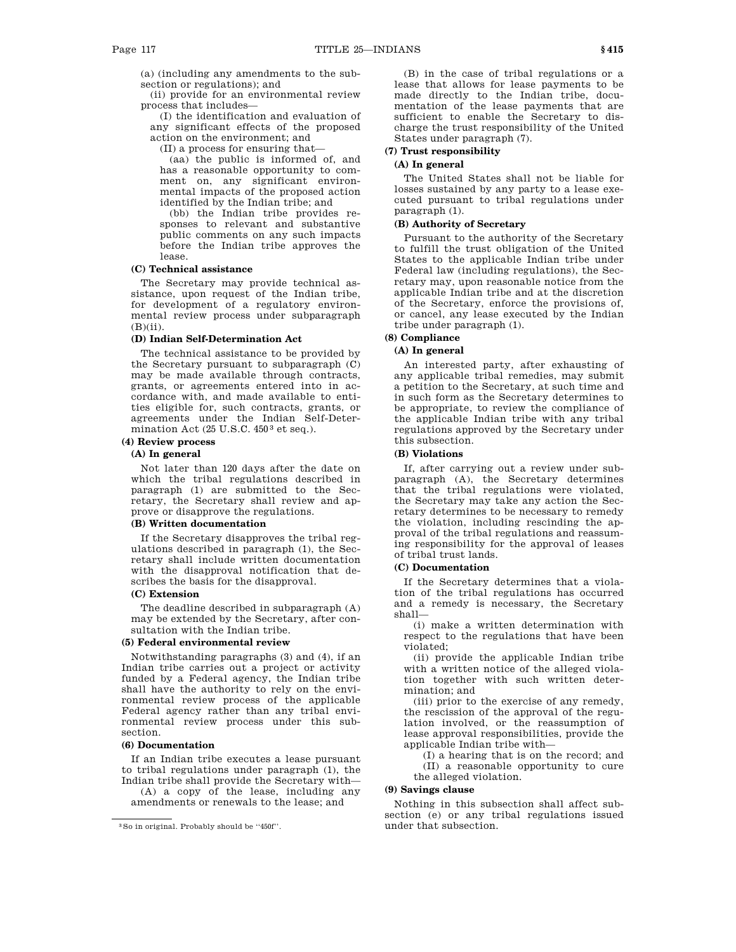(a) (including any amendments to the subsection or regulations); and

(ii) provide for an environmental review process that includes—

(I) the identification and evaluation of any significant effects of the proposed action on the environment; and

(II) a process for ensuring that—

(aa) the public is informed of, and has a reasonable opportunity to comment on, any significant environmental impacts of the proposed action identified by the Indian tribe; and

(bb) the Indian tribe provides responses to relevant and substantive public comments on any such impacts before the Indian tribe approves the lease.

# **(C) Technical assistance**

The Secretary may provide technical assistance, upon request of the Indian tribe, for development of a regulatory environmental review process under subparagraph  $(B)(ii)$ .

# **(D) Indian Self-Determination Act**

The technical assistance to be provided by the Secretary pursuant to subparagraph (C) may be made available through contracts, grants, or agreements entered into in accordance with, and made available to entities eligible for, such contracts, grants, or agreements under the Indian Self-Determination Act (25 U.S.C. 450 3 et seq.).

# **(4) Review process**

# **(A) In general**

Not later than 120 days after the date on which the tribal regulations described in paragraph (1) are submitted to the Secretary, the Secretary shall review and approve or disapprove the regulations.

# **(B) Written documentation**

If the Secretary disapproves the tribal regulations described in paragraph (1), the Secretary shall include written documentation with the disapproval notification that describes the basis for the disapproval.

# **(C) Extension**

The deadline described in subparagraph (A) may be extended by the Secretary, after consultation with the Indian tribe.

# **(5) Federal environmental review**

Notwithstanding paragraphs (3) and (4), if an Indian tribe carries out a project or activity funded by a Federal agency, the Indian tribe shall have the authority to rely on the environmental review process of the applicable Federal agency rather than any tribal environmental review process under this subsection.

# **(6) Documentation**

If an Indian tribe executes a lease pursuant to tribal regulations under paragraph (1), the Indian tribe shall provide the Secretary with—

(A) a copy of the lease, including any amendments or renewals to the lease; and

(B) in the case of tribal regulations or a lease that allows for lease payments to be made directly to the Indian tribe, documentation of the lease payments that are sufficient to enable the Secretary to discharge the trust responsibility of the United States under paragraph (7).

# **(7) Trust responsibility**

# **(A) In general**

The United States shall not be liable for losses sustained by any party to a lease executed pursuant to tribal regulations under paragraph (1).

# **(B) Authority of Secretary**

Pursuant to the authority of the Secretary to fulfill the trust obligation of the United States to the applicable Indian tribe under Federal law (including regulations), the Secretary may, upon reasonable notice from the applicable Indian tribe and at the discretion of the Secretary, enforce the provisions of, or cancel, any lease executed by the Indian tribe under paragraph (1).

**(8) Compliance**

# **(A) In general**

An interested party, after exhausting of any applicable tribal remedies, may submit a petition to the Secretary, at such time and in such form as the Secretary determines to be appropriate, to review the compliance of the applicable Indian tribe with any tribal regulations approved by the Secretary under this subsection.

# **(B) Violations**

If, after carrying out a review under subparagraph (A), the Secretary determines that the tribal regulations were violated, the Secretary may take any action the Secretary determines to be necessary to remedy the violation, including rescinding the approval of the tribal regulations and reassuming responsibility for the approval of leases of tribal trust lands.

### **(C) Documentation**

If the Secretary determines that a violation of the tribal regulations has occurred and a remedy is necessary, the Secretary shall—

(i) make a written determination with respect to the regulations that have been violated;

(ii) provide the applicable Indian tribe with a written notice of the alleged violation together with such written determination; and

(iii) prior to the exercise of any remedy, the rescission of the approval of the regulation involved, or the reassumption of lease approval responsibilities, provide the applicable Indian tribe with—

(I) a hearing that is on the record; and (II) a reasonable opportunity to cure the alleged violation.

#### **(9) Savings clause**

Nothing in this subsection shall affect subsection (e) or any tribal regulations issued under that subsection.

<sup>3</sup>So in original. Probably should be ''450f''.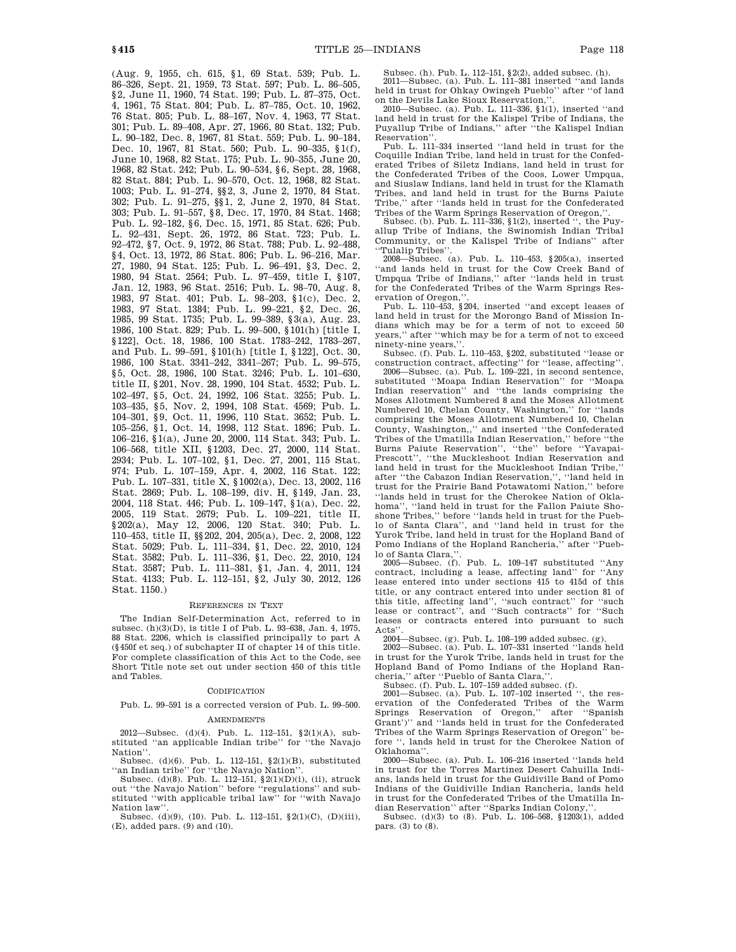(Aug. 9, 1955, ch. 615, §1, 69 Stat. 539; Pub. L. 86–326, Sept. 21, 1959, 73 Stat. 597; Pub. L. 86–505, §2, June 11, 1960, 74 Stat. 199; Pub. L. 87–375, Oct. 4, 1961, 75 Stat. 804; Pub. L. 87–785, Oct. 10, 1962, 76 Stat. 805; Pub. L. 88–167, Nov. 4, 1963, 77 Stat. 301; Pub. L. 89–408, Apr. 27, 1966, 80 Stat. 132; Pub. L. 90–182, Dec. 8, 1967, 81 Stat. 559; Pub. L. 90–184, Dec. 10, 1967, 81 Stat. 560; Pub. L. 90–335, §1(f), June 10, 1968, 82 Stat. 175; Pub. L. 90–355, June 20, 1968, 82 Stat. 242; Pub. L. 90–534, §6, Sept. 28, 1968, 82 Stat. 884; Pub. L. 90–570, Oct. 12, 1968, 82 Stat. 1003; Pub. L. 91–274, §§2, 3, June 2, 1970, 84 Stat. 302; Pub. L. 91–275, §§1, 2, June 2, 1970, 84 Stat. 303; Pub. L. 91–557, §8, Dec. 17, 1970, 84 Stat. 1468; Pub. L. 92–182, §6, Dec. 15, 1971, 85 Stat. 626; Pub. L. 92–431, Sept. 26, 1972, 86 Stat. 723; Pub. L. 92–472, §7, Oct. 9, 1972, 86 Stat. 788; Pub. L. 92–488, §4, Oct. 13, 1972, 86 Stat. 806; Pub. L. 96–216, Mar. 27, 1980, 94 Stat. 125; Pub. L. 96–491, §3, Dec. 2, 1980, 94 Stat. 2564; Pub. L. 97–459, title I, §107, Jan. 12, 1983, 96 Stat. 2516; Pub. L. 98–70, Aug. 8, 1983, 97 Stat. 401; Pub. L. 98–203, §1(c), Dec. 2, 1983, 97 Stat. 1384; Pub. L. 99–221, §2, Dec. 26, 1985, 99 Stat. 1735; Pub. L. 99–389, §3(a), Aug. 23, 1986, 100 Stat. 829; Pub. L. 99–500, §101(h) [title I, §122], Oct. 18, 1986, 100 Stat. 1783–242, 1783–267, and Pub. L. 99–591, §101(h) [title I, §122], Oct. 30, 1986, 100 Stat. 3341–242, 3341–267; Pub. L. 99–575, §5, Oct. 28, 1986, 100 Stat. 3246; Pub. L. 101–630, title II, §201, Nov. 28, 1990, 104 Stat. 4532; Pub. L. 102–497, §5, Oct. 24, 1992, 106 Stat. 3255; Pub. L. 103–435, §5, Nov. 2, 1994, 108 Stat. 4569; Pub. L. 104–301, §9, Oct. 11, 1996, 110 Stat. 3652; Pub. L. 105–256, §1, Oct. 14, 1998, 112 Stat. 1896; Pub. L. 106–216, §1(a), June 20, 2000, 114 Stat. 343; Pub. L. 106–568, title XII, §1203, Dec. 27, 2000, 114 Stat. 2934; Pub. L. 107–102, §1, Dec. 27, 2001, 115 Stat. 974; Pub. L. 107–159, Apr. 4, 2002, 116 Stat. 122; Pub. L. 107–331, title X, §1002(a), Dec. 13, 2002, 116 Stat. 2869; Pub. L. 108–199, div. H, §149, Jan. 23, 2004, 118 Stat. 446; Pub. L. 109–147, §1(a), Dec. 22, 2005, 119 Stat. 2679; Pub. L. 109–221, title II, §202(a), May 12, 2006, 120 Stat. 340; Pub. L. 110–453, title II, §§202, 204, 205(a), Dec. 2, 2008, 122 Stat. 5029; Pub. L. 111–334, §1, Dec. 22, 2010, 124 Stat. 3582; Pub. L. 111–336, §1, Dec. 22, 2010, 124 Stat. 3587; Pub. L. 111–381, §1, Jan. 4, 2011, 124 Stat. 4133; Pub. L. 112–151, §2, July 30, 2012, 126 Stat. 1150.)

#### REFERENCES IN TEXT

The Indian Self-Determination Act, referred to in subsec. (h)(3)(D), is title I of Pub. L. 93–638, Jan. 4, 1975, 88 Stat. 2206, which is classified principally to part A (§450f et seq.) of subchapter II of chapter 14 of this title. For complete classification of this Act to the Code, see Short Title note set out under section 450 of this title and Tables.

#### CODIFICATION

Pub. L. 99–591 is a corrected version of Pub. L. 99–500.

# **AMENDMENTS**

2012—Subsec. (d)(4). Pub. L. 112–151, §2(1)(A), substituted ''an applicable Indian tribe'' for ''the Navajo Nation''.

Subsec. (d)(6). Pub. L. 112–151, §2(1)(B), substituted ''an Indian tribe'' for ''the Navajo Nation''.

Subsec. (d)(8). Pub. L. 112–151, §2(1)(D)(i), (ii), struck out ''the Navajo Nation'' before ''regulations'' and substituted ''with applicable tribal law'' for ''with Navajo Nation law'

Subsec. (d)(9), (10). Pub. L. 112–151,  $\S2(1)(C)$ , (D)(iii),  $\left(\mathrm{E}\right),$  added pars.  $\left(9\right)$  and  $\left(10\right).$ 

Subsec. (h). Pub. L. 112–151, §2(2), added subsec. (h).

2011—Subsec. (a). Pub. L. 111–381 inserted ''and lands held in trust for Ohkay Owingeh Pueblo'' after ''of land on the Devils Lake Sioux Reservation,''.

2010—Subsec. (a). Pub. L. 111–336, §1(1), inserted ''and land held in trust for the Kalispel Tribe of Indians, the Puyallup Tribe of Indians,'' after ''the Kalispel Indian Reservation''.

Pub. L. 111–334 inserted ''land held in trust for the Coquille Indian Tribe, land held in trust for the Confederated Tribes of Siletz Indians, land held in trust for the Confederated Tribes of the Coos, Lower Umpqua, and Siuslaw Indians, land held in trust for the Klamath Tribes, and land held in trust for the Burns Paiute Tribe,'' after ''lands held in trust for the Confederated Tribes of the Warm Springs Reservation of Oregon,

Subsec. (b). Pub. L. 111–336, §1(2), inserted '', the Puyallup Tribe of Indians, the Swinomish Indian Tribal Community, or the Kalispel Tribe of Indians'' after ''Tulalip Tribes''.

2008—Subsec. (a). Pub. L. 110–453, §205(a), inserted ''and lands held in trust for the Cow Creek Band of Umpqua Tribe of Indians,'' after ''lands held in trust for the Confederated Tribes of the Warm Springs Reservation of Oregon,

Pub. L. 110–453, §204, inserted ''and except leases of land held in trust for the Morongo Band of Mission Indians which may be for a term of not to exceed 50 years,'' after ''which may be for a term of not to exceed ninety-nine years,

Subsec. (f). Pub. L. 110–453, §202, substituted ''lease or construction contract, affecting'' for ''lease, affecting''. 2006—Subsec. (a). Pub. L. 109–221, in second sentence,

substituted ''Moapa Indian Reservation'' for ''Moapa Indian reservation'' and ''the lands comprising the Moses Allotment Numbered 8 and the Moses Allotment Numbered 10, Chelan County, Washington,'' for ''lands comprising the Moses Allotment Numbered 10, Chelan County, Washington,,'' and inserted ''the Confederated Tribes of the Umatilla Indian Reservation,'' before ''the Burns Paiute Reservation'', ''the'' before ''Yavapai-Prescott'', ''the Muckleshoot Indian Reservation and land held in trust for the Muckleshoot Indian Tribe,'' after ''the Cabazon Indian Reservation,'', ''land held in trust for the Prairie Band Potawatomi Nation,'' before ''lands held in trust for the Cherokee Nation of Oklahoma'', ''land held in trust for the Fallon Paiute Shoshone Tribes,'' before ''lands held in trust for the Pueblo of Santa Clara'', and ''land held in trust for the Yurok Tribe, land held in trust for the Hopland Band of Pomo Indians of the Hopland Rancheria." after "Pueh-Pomo Indians of the Hopland Rancheria,' lo of Santa Clara,''.

2005—Subsec. (f). Pub. L. 109–147 substituted ''Any contract, including a lease, affecting land'' for ''Any lease entered into under sections 415 to 415d of this title, or any contract entered into under section 81 of this title, affecting land'', ''such contract'' for ''such lease or contract'', and "Such contracts" for "Such lease or contract", and "Such contracts" for "Such leases or contracts entered into pursuant to such Acts''.

2004—Subsec. (g). Pub. L. 108–199 added subsec. (g).

2002—Subsec. (a). Pub. L. 107–331 inserted ''lands held in trust for the Yurok Tribe, lands held in trust for the Hopland Band of Pomo Indians of the Hopland Rancheria,'' after ''Pueblo of Santa Clara,''.

Subsec. (f). Pub. L. 107–159 added subsec. (f). 2001—Subsec. (a). Pub. L. 107–102 inserted '', the reservation of the Confederated Tribes of the Warm Springs Reservation of Oregon,'' after ''Spanish Grant')'' and ''lands held in trust for the Confederated Tribes of the Warm Springs Reservation of Oregon'' before '', lands held in trust for the Cherokee Nation of Oklahoma''.

2000—Subsec. (a). Pub. L. 106–216 inserted ''lands held in trust for the Torres Martinez Desert Cahuilla Indians, lands held in trust for the Guidiville Band of Pomo Indians of the Guidiville Indian Rancheria, lands held in trust for the Confederated Tribes of the Umatilla In-

dian Reservation'' after ''Sparks Indian Colony,''. Subsec. (d)(3) to (8). Pub. L. 106–568, §1203(1), added pars. (3) to (8).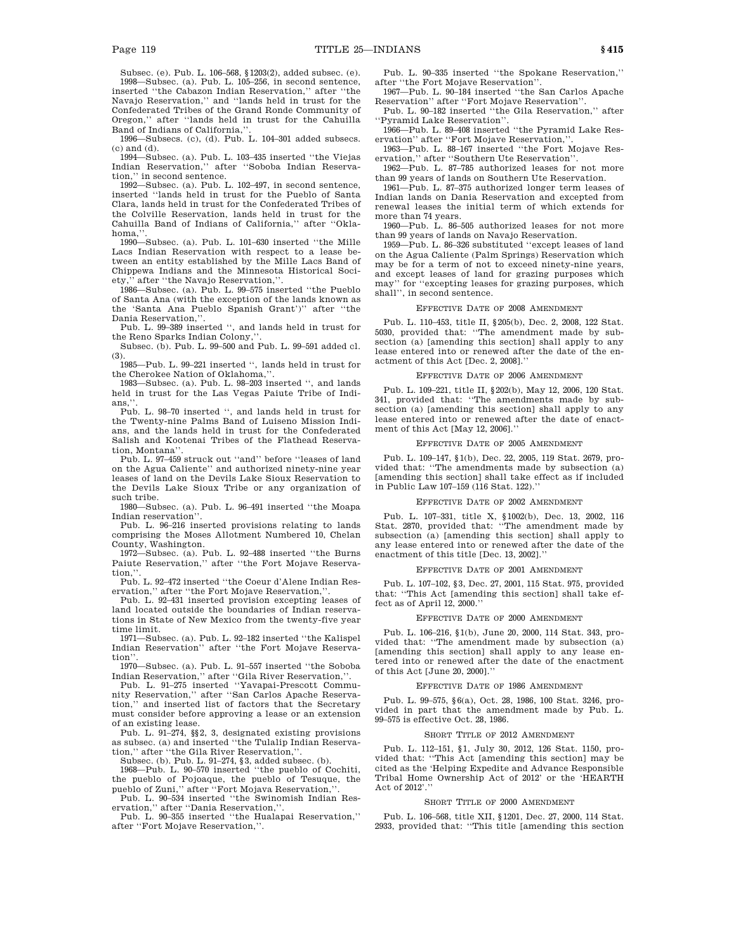Subsec. (e). Pub. L. 106–568, §1203(2), added subsec. (e).

1998—Subsec. (a). Pub. L. 105–256, in second sentence, inserted ''the Cabazon Indian Reservation,'' after ''the Navajo Reservation,'' and ''lands held in trust for the Confederated Tribes of the Grand Ronde Community of Oregon,'' after ''lands held in trust for the Cahuilla Band of Indians of California,"

1996—Subsecs. (c), (d). Pub. L. 104–301 added subsecs. (c) and (d).

1994—Subsec. (a). Pub. L. 103–435 inserted ''the Viejas Indian Reservation,'' after ''Soboba Indian Reservation,'' in second sentence.

1992—Subsec. (a). Pub. L. 102–497, in second sentence, inserted ''lands held in trust for the Pueblo of Santa Clara, lands held in trust for the Confederated Tribes of the Colville Reservation, lands held in trust for the Cahuilla Band of Indians of California,'' after ''Oklahoma.

1990—Subsec. (a). Pub. L. 101–630 inserted ''the Mille Lacs Indian Reservation with respect to a lease between an entity established by the Mille Lacs Band of Chippewa Indians and the Minnesota Historical Society,'' after ''the Navajo Reservation,''. 1986—Subsec. (a). Pub. L. 99–575 inserted ''the Pueblo

of Santa Ana (with the exception of the lands known as the 'Santa Ana Pueblo Spanish Grant')'' after ''the Dania Reservation,''.

Pub. L. 99–389 inserted '', and lands held in trust for the Reno Sparks Indian Colony,

Subsec. (b). Pub. L. 99–500 and Pub. L. 99–591 added cl. (3).

1985—Pub. L. 99–221 inserted '', lands held in trust for the Cherokee Nation of Oklahoma,''.

1983—Subsec. (a). Pub. L. 98–203 inserted '', and lands held in trust for the Las Vegas Paiute Tribe of Indians.'

Pub. L. 98–70 inserted '', and lands held in trust for the Twenty-nine Palms Band of Luiseno Mission Indians, and the lands held in trust for the Confederated Salish and Kootenai Tribes of the Flathead Reservation, Montana''.

Pub. L. 97–459 struck out ''and'' before ''leases of land on the Agua Caliente'' and authorized ninety-nine year leases of land on the Devils Lake Sioux Reservation to the Devils Lake Sioux Tribe or any organization of such tribe.

1980—Subsec. (a). Pub. L. 96–491 inserted ''the Moapa Indian reservation''.

Pub. L. 96–216 inserted provisions relating to lands comprising the Moses Allotment Numbered 10, Chelan County, Washington.

1972—Subsec. (a). Pub. L. 92–488 inserted ''the Burns Paiute Reservation,'' after ''the Fort Mojave Reservation,

Pub. L. 92–472 inserted ''the Coeur d'Alene Indian Reservation," after "the Fort Mojave Reservation."

Pub. L. 92–431 inserted provision excepting leases of land located outside the boundaries of Indian reservations in State of New Mexico from the twenty-five year time limit.

1971—Subsec. (a). Pub. L. 92–182 inserted ''the Kalispel Indian Reservation'' after ''the Fort Mojave Reservation'

1970—Subsec. (a). Pub. L. 91–557 inserted ''the Soboba Indian Reservation,'' after ''Gila River Reservation,''.

Pub. L. 91–275 inserted ''Yavapai-Prescott Community Reservation,'' after ''San Carlos Apache Reservation,'' and inserted list of factors that the Secretary must consider before approving a lease or an extension of an existing lease.

Pub. L. 91–274, §§2, 3, designated existing provisions as subsec. (a) and inserted ''the Tulalip Indian Reservation,'' after ''the Gila River Reservation,''.

Subsec. (b). Pub. L. 91–274, §3, added subsec. (b). 1968—Pub. L. 90–570 inserted ''the pueblo of Cochiti,

the pueblo of Pojoaque, the pueblo of Tesuque, the pueblo of Zuni," after "Fort Mojava Reservation,"

Pub. L. 90–534 inserted ''the Swinomish Indian Reservation,'' after ''Dania Reservation,''. Pub. L. 90–355 inserted ''the Hualapai Reservation,''

after ''Fort Mojave Reservation,''.

Pub. L. 90–335 inserted ''the Spokane Reservation,'' after ''the Fort Mojave Reservation''.

1967—Pub. L. 90–184 inserted ''the San Carlos Apache Reservation'' after ''Fort Mojave Reservation''. Pub. L. 90–182 inserted ''the Gila Reservation,'' after

''Pyramid Lake Reservation''.

1966—Pub. L. 89–408 inserted ''the Pyramid Lake Reservation" after "Fort Mojave Reservation,"

1963—Pub. L. 88–167 inserted ''the Fort Mojave Reservation,'' after ''Southern Ute Reservation''.

1962—Pub. L. 87–785 authorized leases for not more than 99 years of lands on Southern Ute Reservation.

1961—Pub. L. 87–375 authorized longer term leases of Indian lands on Dania Reservation and excepted from renewal leases the initial term of which extends for more than 74 years.

1960—Pub. L. 86–505 authorized leases for not more than 99 years of lands on Navajo Reservation.

1959—Pub. L. 86–326 substituted ''except leases of land on the Agua Caliente (Palm Springs) Reservation which may be for a term of not to exceed ninety-nine years, and except leases of land for grazing purposes which may'' for ''excepting leases for grazing purposes, which shall'', in second sentence.

#### EFFECTIVE DATE OF 2008 AMENDMENT

Pub. L. 110–453, title II, §205(b), Dec. 2, 2008, 122 Stat. 5030, provided that: ''The amendment made by subsection (a) [amending this section] shall apply to any lease entered into or renewed after the date of the enactment of this Act [Dec. 2, 2008].''

### EFFECTIVE DATE OF 2006 AMENDMENT

Pub. L. 109–221, title II, §202(b), May 12, 2006, 120 Stat. 341, provided that: ''The amendments made by subsection (a) [amending this section] shall apply to any lease entered into or renewed after the date of enactment of this Act [May 12, 2006].''

### EFFECTIVE DATE OF 2005 AMENDMENT

Pub. L. 109–147, §1(b), Dec. 22, 2005, 119 Stat. 2679, provided that: ''The amendments made by subsection (a) [amending this section] shall take effect as if included in Public Law 107–159 (116 Stat. 122).''

### EFFECTIVE DATE OF 2002 AMENDMENT

Pub. L. 107–331, title X, §1002(b), Dec. 13, 2002, 116 Stat. 2870, provided that: ''The amendment made by subsection (a) [amending this section] shall apply to any lease entered into or renewed after the date of the enactment of this title [Dec. 13, 2002].''

#### EFFECTIVE DATE OF 2001 AMENDMENT

Pub. L. 107–102, §3, Dec. 27, 2001, 115 Stat. 975, provided that: ''This Act [amending this section] shall take effect as of April 12, 2000.''

#### EFFECTIVE DATE OF 2000 AMENDMENT

Pub. L. 106–216, §1(b), June 20, 2000, 114 Stat. 343, provided that: ''The amendment made by subsection (a) [amending this section] shall apply to any lease entered into or renewed after the date of the enactment of this Act [June 20, 2000].''

### EFFECTIVE DATE OF 1986 AMENDMENT

Pub. L. 99–575, §6(a), Oct. 28, 1986, 100 Stat. 3246, provided in part that the amendment made by Pub. L. 99–575 is effective Oct. 28, 1986.

#### SHORT TITLE OF 2012 AMENDMENT

Pub. L. 112–151, §1, July 30, 2012, 126 Stat. 1150, provided that: ''This Act [amending this section] may be cited as the 'Helping Expedite and Advance Responsible Tribal Home Ownership Act of 2012' or the 'HEARTH Act of 2012'.''

#### SHORT TITLE OF 2000 AMENDMENT

Pub. L. 106–568, title XII, §1201, Dec. 27, 2000, 114 Stat. 2933, provided that: ''This title [amending this section